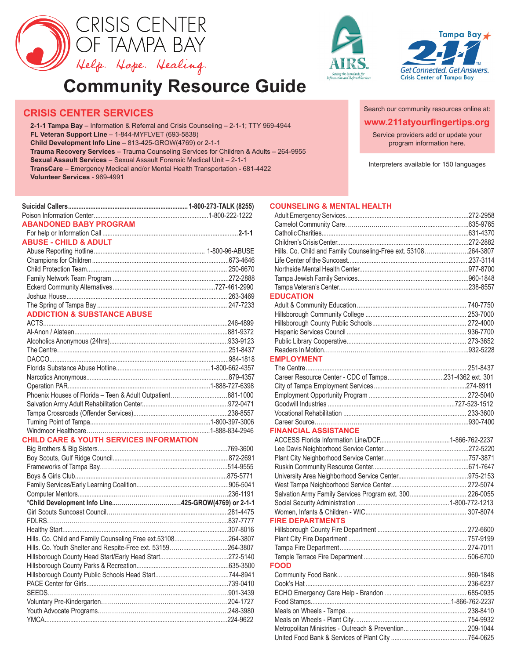

# **Community Resource Guide**

## **CRISIS CENTER SERVICES**

**2-1-1 Tampa Bay** – Information & Referral and Crisis Counseling – 2-1-1; TTY 969-4944 **FL Veteran Support Line** – 1-844-MYFLVET (693-5838) **Child Development Info Line** – 813-425-GROW(4769) or 2-1-1 **Trauma Recovery Services** – Trauma Counseling Services for Children & Adults – 264-9955 **Sexual Assault Services** – Sexual Assault Forensic Medical Unit – 2-1-1 **TransCare** – Emergency Medical and/or Mental Health Transportation - 681-4422 **Volunteer Services** - 969-4991

| <b>ABANDONED BABY PROGRAM</b>                               |  |
|-------------------------------------------------------------|--|
|                                                             |  |
| <b>ABUSE - CHILD &amp; ADULT</b>                            |  |
|                                                             |  |
|                                                             |  |
|                                                             |  |
|                                                             |  |
|                                                             |  |
|                                                             |  |
|                                                             |  |
| <b>ADDICTION &amp; SUBSTANCE ABUSE</b>                      |  |
|                                                             |  |
|                                                             |  |
|                                                             |  |
|                                                             |  |
|                                                             |  |
|                                                             |  |
|                                                             |  |
|                                                             |  |
| Phoenix Houses of Florida - Teen & Adult Outpatient881-1000 |  |
|                                                             |  |
|                                                             |  |
|                                                             |  |
|                                                             |  |
| <b>CHILD CARE &amp; YOUTH SERVICES INFORMATION</b>          |  |
|                                                             |  |
|                                                             |  |
|                                                             |  |

|                                                       | .236-1191 |
|-------------------------------------------------------|-----------|
|                                                       |           |
|                                                       | .281-4475 |
|                                                       | .837-7777 |
|                                                       | .307-8016 |
| Hills. Co. Child and Family Counseling Free ext.53108 | .264-3807 |
| Hills. Co. Youth Shelter and Respite-Free ext. 53159  | 264-3807  |
|                                                       | 272-5140  |
|                                                       | .635-3500 |
|                                                       | .744-8941 |
|                                                       | 739-0410  |
|                                                       | .901-3439 |
|                                                       | 204-1727  |
|                                                       |           |
|                                                       | .224-9622 |
|                                                       |           |





**www.211atyourfingertips.org** Search our community resources online at: Service providers add or update your program information here.

Interpreters available for 150 languages

#### **COUNSELING & MENTAL HEALTH**

| Hills. Co. Child and Family Counseling-Free ext. 53108264-3807 |  |
|----------------------------------------------------------------|--|
|                                                                |  |
|                                                                |  |
|                                                                |  |
|                                                                |  |
| <b>EDUCATION</b>                                               |  |
|                                                                |  |
|                                                                |  |
|                                                                |  |
|                                                                |  |
|                                                                |  |
|                                                                |  |
| <b>EMPLOYMENT</b>                                              |  |
|                                                                |  |
|                                                                |  |
|                                                                |  |
|                                                                |  |
|                                                                |  |
|                                                                |  |
|                                                                |  |
| <b>FINANCIAL ASSISTANCE</b>                                    |  |
|                                                                |  |
|                                                                |  |
|                                                                |  |
|                                                                |  |
|                                                                |  |
|                                                                |  |
| Salvation Army Family Services Program ext. 300 226-0055       |  |
|                                                                |  |
|                                                                |  |
| <b>FIRE DEPARTMENTS</b>                                        |  |
|                                                                |  |
|                                                                |  |
|                                                                |  |
|                                                                |  |
| <b>FOOD</b>                                                    |  |
|                                                                |  |
|                                                                |  |
|                                                                |  |
|                                                                |  |
|                                                                |  |
|                                                                |  |
|                                                                |  |
|                                                                |  |